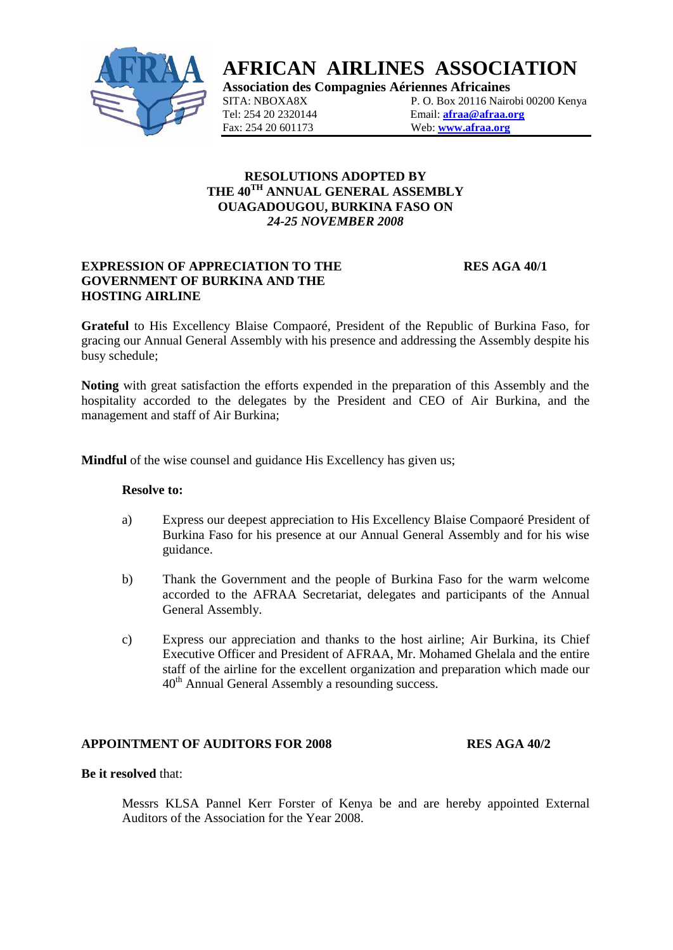

# **AFRICAN AIRLINES ASSOCIATION**

**Association des Compagnies Aériennes Africaines**

SITA: NBOXA8X P. O. Box 20116 Nairobi 00200 Kenya<br>
Tel: 254 20 2320144 Email: afraa@afraa.org Email: **[afraa@afraa.org](mailto:afraa@afraa.org)** Fax: 254 20 601173 Web: **[www.afraa.org](http://www.afraa.org/)**

# **RESOLUTIONS ADOPTED BY THE 40TH ANNUAL GENERAL ASSEMBLY OUAGADOUGOU, BURKINA FASO ON** *24-25 NOVEMBER 2008*

# **EXPRESSION OF APPRECIATION TO THE RES AGA 40/1 GOVERNMENT OF BURKINA AND THE HOSTING AIRLINE**

**Grateful** to His Excellency Blaise Compaoré, President of the Republic of Burkina Faso, for gracing our Annual General Assembly with his presence and addressing the Assembly despite his busy schedule;

**Noting** with great satisfaction the efforts expended in the preparation of this Assembly and the hospitality accorded to the delegates by the President and CEO of Air Burkina, and the management and staff of Air Burkina;

**Mindful** of the wise counsel and guidance His Excellency has given us;

#### **Resolve to:**

- a) Express our deepest appreciation to His Excellency Blaise Compaoré President of Burkina Faso for his presence at our Annual General Assembly and for his wise guidance.
- b) Thank the Government and the people of Burkina Faso for the warm welcome accorded to the AFRAA Secretariat, delegates and participants of the Annual General Assembly.
- c) Express our appreciation and thanks to the host airline; Air Burkina, its Chief Executive Officer and President of AFRAA, Mr. Mohamed Ghelala and the entire staff of the airline for the excellent organization and preparation which made our 40th Annual General Assembly a resounding success.

#### **APPOINTMENT OF AUDITORS FOR 2008 RES AGA 40/2**

#### **Be it resolved** that:

Messrs KLSA Pannel Kerr Forster of Kenya be and are hereby appointed External Auditors of the Association for the Year 2008.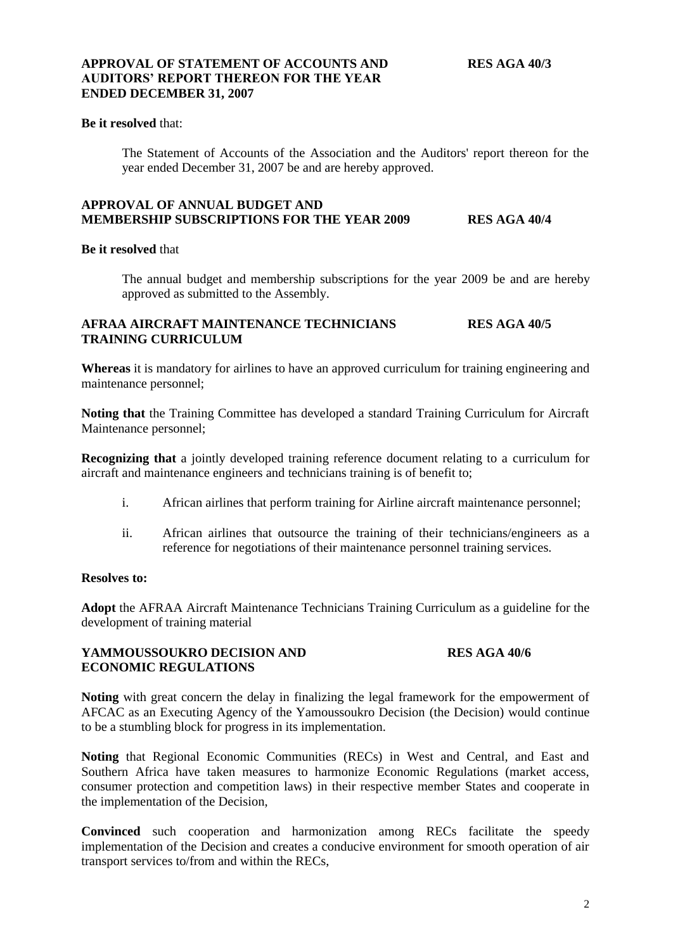# **APPROVAL OF STATEMENT OF ACCOUNTS AND RES AGA 40/3 AUDITORS' REPORT THEREON FOR THE YEAR ENDED DECEMBER 31, 2007**

# **Be it resolved** that:

The Statement of Accounts of the Association and the Auditors' report thereon for the year ended December 31, 2007 be and are hereby approved.

### **APPROVAL OF ANNUAL BUDGET AND MEMBERSHIP SUBSCRIPTIONS FOR THE YEAR 2009 RES AGA 40/4**

#### **Be it resolved** that

The annual budget and membership subscriptions for the year 2009 be and are hereby approved as submitted to the Assembly.

# **AFRAA AIRCRAFT MAINTENANCE TECHNICIANS RES AGA 40/5 TRAINING CURRICULUM**

**Whereas** it is mandatory for airlines to have an approved curriculum for training engineering and maintenance personnel;

**Noting that** the Training Committee has developed a standard Training Curriculum for Aircraft Maintenance personnel;

**Recognizing that** a jointly developed training reference document relating to a curriculum for aircraft and maintenance engineers and technicians training is of benefit to;

- i. African airlines that perform training for Airline aircraft maintenance personnel;
- ii. African airlines that outsource the training of their technicians/engineers as a reference for negotiations of their maintenance personnel training services.

# **Resolves to:**

**Adopt** the AFRAA Aircraft Maintenance Technicians Training Curriculum as a guideline for the development of training material

### **YAMMOUSSOUKRO DECISION AND RES AGA 40/6 ECONOMIC REGULATIONS**

**Noting** with great concern the delay in finalizing the legal framework for the empowerment of AFCAC as an Executing Agency of the Yamoussoukro Decision (the Decision) would continue to be a stumbling block for progress in its implementation.

**Noting** that Regional Economic Communities (RECs) in West and Central, and East and Southern Africa have taken measures to harmonize Economic Regulations (market access, consumer protection and competition laws) in their respective member States and cooperate in the implementation of the Decision,

**Convinced** such cooperation and harmonization among RECs facilitate the speedy implementation of the Decision and creates a conducive environment for smooth operation of air transport services to/from and within the RECs,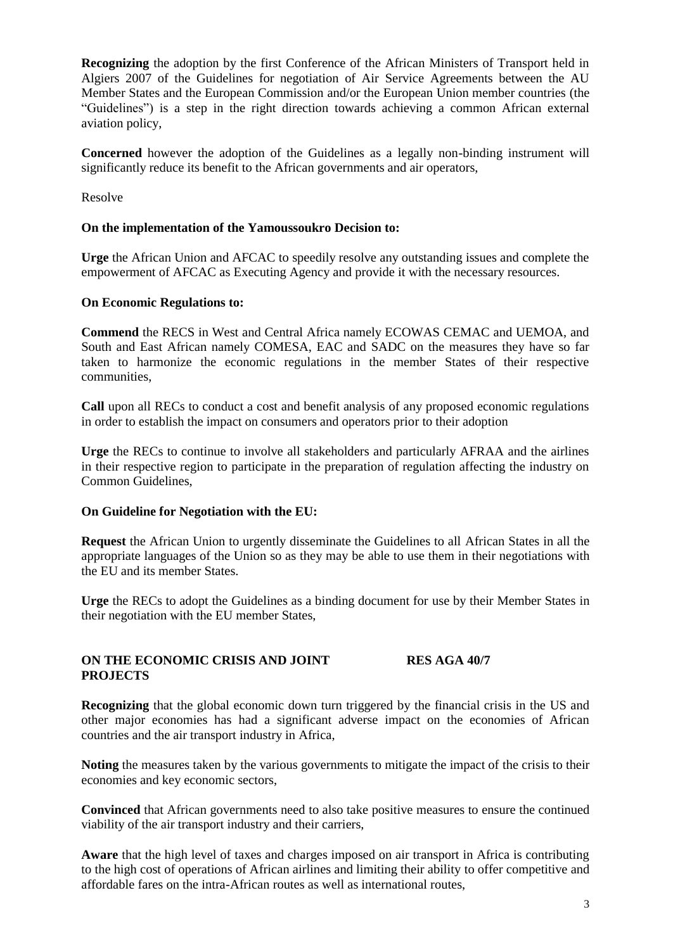**Recognizing** the adoption by the first Conference of the African Ministers of Transport held in Algiers 2007 of the Guidelines for negotiation of Air Service Agreements between the AU Member States and the European Commission and/or the European Union member countries (the "Guidelines") is a step in the right direction towards achieving a common African external aviation policy,

**Concerned** however the adoption of the Guidelines as a legally non-binding instrument will significantly reduce its benefit to the African governments and air operators,

Resolve

### **On the implementation of the Yamoussoukro Decision to:**

**Urge** the African Union and AFCAC to speedily resolve any outstanding issues and complete the empowerment of AFCAC as Executing Agency and provide it with the necessary resources.

### **On Economic Regulations to:**

**Commend** the RECS in West and Central Africa namely ECOWAS CEMAC and UEMOA, and South and East African namely COMESA, EAC and SADC on the measures they have so far taken to harmonize the economic regulations in the member States of their respective communities,

**Call** upon all RECs to conduct a cost and benefit analysis of any proposed economic regulations in order to establish the impact on consumers and operators prior to their adoption

**Urge** the RECs to continue to involve all stakeholders and particularly AFRAA and the airlines in their respective region to participate in the preparation of regulation affecting the industry on Common Guidelines,

#### **On Guideline for Negotiation with the EU:**

**Request** the African Union to urgently disseminate the Guidelines to all African States in all the appropriate languages of the Union so as they may be able to use them in their negotiations with the EU and its member States.

**Urge** the RECs to adopt the Guidelines as a binding document for use by their Member States in their negotiation with the EU member States,

# **ON THE ECONOMIC CRISIS AND JOINT RES AGA 40/7 PROJECTS**

**Recognizing** that the global economic down turn triggered by the financial crisis in the US and other major economies has had a significant adverse impact on the economies of African countries and the air transport industry in Africa,

**Noting** the measures taken by the various governments to mitigate the impact of the crisis to their economies and key economic sectors,

**Convinced** that African governments need to also take positive measures to ensure the continued viability of the air transport industry and their carriers,

**Aware** that the high level of taxes and charges imposed on air transport in Africa is contributing to the high cost of operations of African airlines and limiting their ability to offer competitive and affordable fares on the intra-African routes as well as international routes,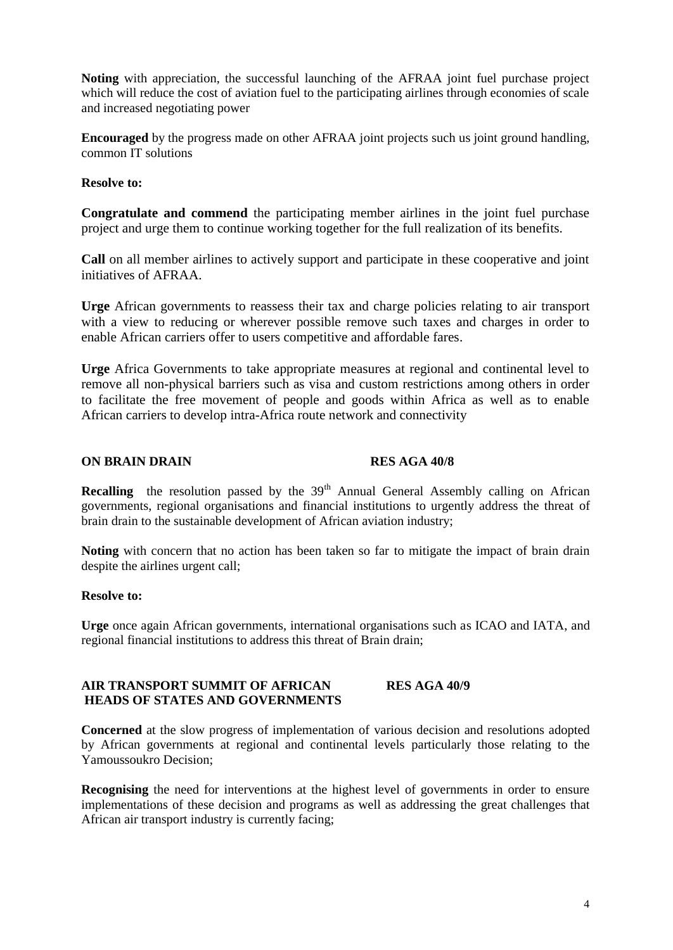**Noting** with appreciation, the successful launching of the AFRAA joint fuel purchase project which will reduce the cost of aviation fuel to the participating airlines through economies of scale and increased negotiating power

**Encouraged** by the progress made on other AFRAA joint projects such us joint ground handling, common IT solutions

**Resolve to:**

**Congratulate and commend** the participating member airlines in the joint fuel purchase project and urge them to continue working together for the full realization of its benefits.

**Call** on all member airlines to actively support and participate in these cooperative and joint initiatives of AFRAA.

**Urge** African governments to reassess their tax and charge policies relating to air transport with a view to reducing or wherever possible remove such taxes and charges in order to enable African carriers offer to users competitive and affordable fares.

**Urge** Africa Governments to take appropriate measures at regional and continental level to remove all non-physical barriers such as visa and custom restrictions among others in order to facilitate the free movement of people and goods within Africa as well as to enable African carriers to develop intra-Africa route network and connectivity

### **ON BRAIN DRAIN** RES AGA 40/8

**Recalling** the resolution passed by the 39<sup>th</sup> Annual General Assembly calling on African governments, regional organisations and financial institutions to urgently address the threat of brain drain to the sustainable development of African aviation industry;

**Noting** with concern that no action has been taken so far to mitigate the impact of brain drain despite the airlines urgent call;

#### **Resolve to:**

**Urge** once again African governments, international organisations such as ICAO and IATA, and regional financial institutions to address this threat of Brain drain;

# **AIR TRANSPORT SUMMIT OF AFRICAN RES AGA 40/9 HEADS OF STATES AND GOVERNMENTS**

**Concerned** at the slow progress of implementation of various decision and resolutions adopted by African governments at regional and continental levels particularly those relating to the Yamoussoukro Decision;

**Recognising** the need for interventions at the highest level of governments in order to ensure implementations of these decision and programs as well as addressing the great challenges that African air transport industry is currently facing;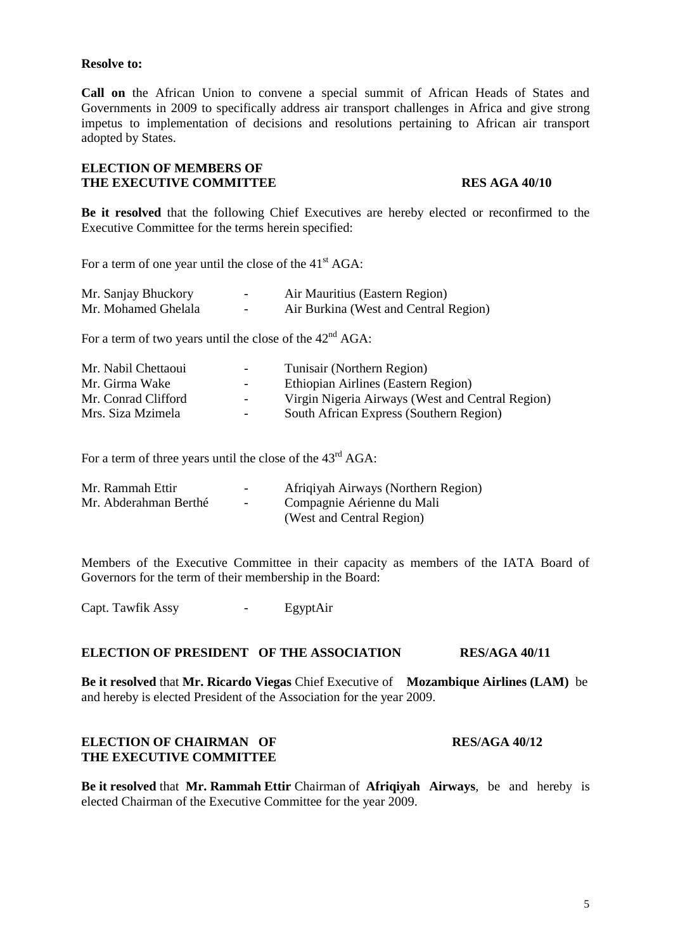#### **Resolve to:**

**Call on** the African Union to convene a special summit of African Heads of States and Governments in 2009 to specifically address air transport challenges in Africa and give strong impetus to implementation of decisions and resolutions pertaining to African air transport adopted by States.

### **ELECTION OF MEMBERS OF THE EXECUTIVE COMMITTEE RES** AGA 40/10

**Be it resolved** that the following Chief Executives are hereby elected or reconfirmed to the Executive Committee for the terms herein specified:

For a term of one year until the close of the 41<sup>st</sup> AGA:

| Mr. Sanjay Bhuckory | $\overline{\phantom{0}}$ | Air Mauritius (Eastern Region)        |
|---------------------|--------------------------|---------------------------------------|
| Mr. Mohamed Ghelala | $\sim$                   | Air Burkina (West and Central Region) |

For a term of two years until the close of the  $42<sup>nd</sup> AGA$ :

| Virgin Nigeria Airways (West and Central Region) |
|--------------------------------------------------|
|                                                  |
|                                                  |

For a term of three years until the close of the  $43<sup>rd</sup>$  AGA:

| Mr. Rammah Ettir      | $\sim$         | Afriqiyah Airways (Northern Region) |
|-----------------------|----------------|-------------------------------------|
| Mr. Abderahman Berthé | <b>Service</b> | Compagnie Aérienne du Mali          |
|                       |                | (West and Central Region)           |

Members of the Executive Committee in their capacity as members of the IATA Board of Governors for the term of their membership in the Board:

Capt. Tawfik Assy - EgyptAir

# **ELECTION OF PRESIDENT OF THE ASSOCIATION RES/AGA 40/11**

**Be it resolved** that **Mr. Ricardo Viegas** Chief Executive of **Mozambique Airlines (LAM)** be and hereby is elected President of the Association for the year 2009.

# **ELECTION OF CHAIRMAN OF RES/AGA 40/12 THE EXECUTIVE COMMITTEE**

**Be it resolved** that **Mr. Rammah Ettir** Chairman of **Afriqiyah Airways**, be and hereby is elected Chairman of the Executive Committee for the year 2009.